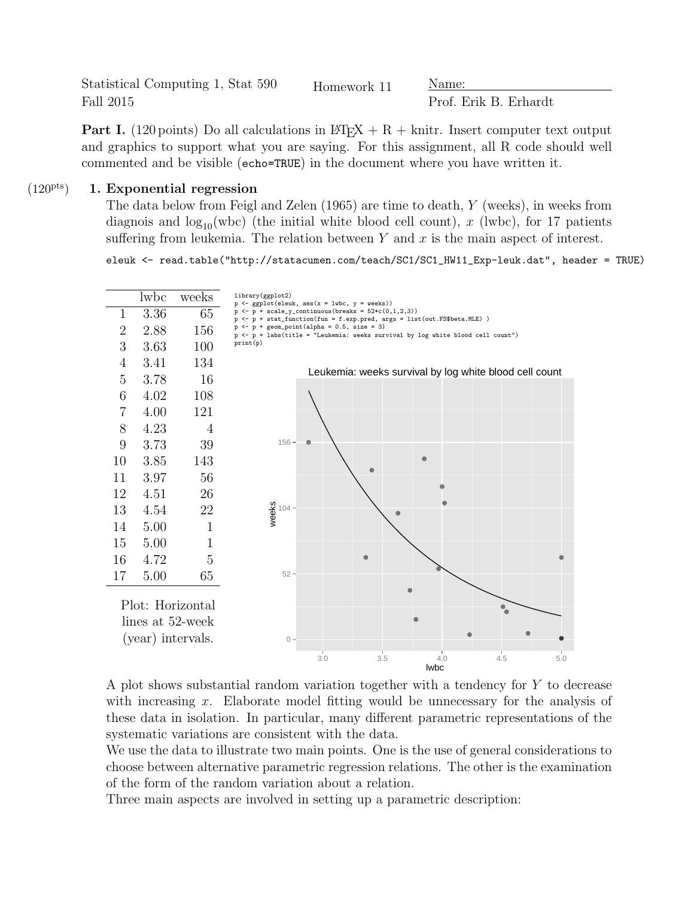Statistical Computing 1, Stat 590 Fall 2015

Homework 11 Name:

Prof. Erik B. Erhardt

**Part I.** (120 points) Do all calculations in  $\angle MEX + R + \text{knitr}$ . Insert computer text output and graphics to support what you are saying. For this assignment, all R code should well commented and be visible (echo=TRUE) in the document where you have written it.

## $(120<sup>pts</sup>)$  1. Exponential regression

The data below from Feigl and Zelen (1965) are time to death, Y (weeks), in weeks from diagnois and  $\log_{10}(wbc)$  (the initial white blood cell count), x (lwbc), for 17 patients suffering from leukemia. The relation between  $Y$  and  $x$  is the main aspect of interest.

eleuk <- read.table("http://statacumen.com/teach/SC1/SC1\_HW11\_Exp-leuk.dat", header = TRUE)



A plot shows substantial random variation together with a tendency for Y to decrease with increasing  $x$ . Elaborate model fitting would be unnecessary for the analysis of these data in isolation. In particular, many different parametric representations of the systematic variations are consistent with the data.

We use the data to illustrate two main points. One is the use of general considerations to choose between alternative parametric regression relations. The other is the examination of the form of the random variation about a relation.

Three main aspects are involved in setting up a parametric description: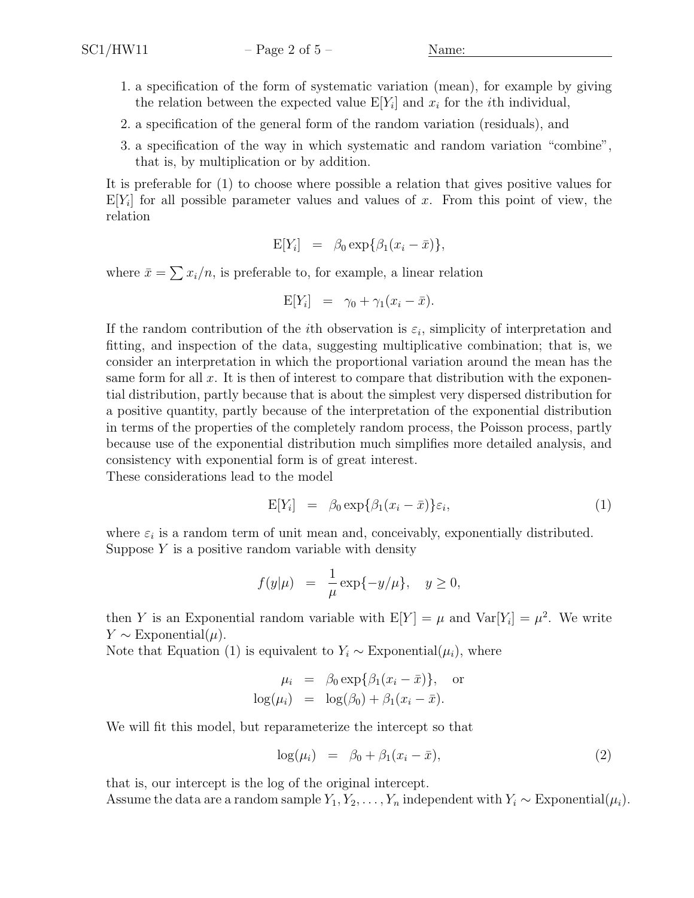- 1. a specification of the form of systematic variation (mean), for example by giving the relation between the expected value  $E[Y_i]$  and  $x_i$  for the *i*th individual,
- 2. a specification of the general form of the random variation (residuals), and
- 3. a specification of the way in which systematic and random variation "combine", that is, by multiplication or by addition.

It is preferable for (1) to choose where possible a relation that gives positive values for  $E[Y_i]$  for all possible parameter values and values of x. From this point of view, the relation

$$
E[Y_i] = \beta_0 \exp{\beta_1(x_i - \bar{x})},
$$

where  $\bar{x} = \sum x_i/n$ , is preferable to, for example, a linear relation

$$
E[Y_i] = \gamma_0 + \gamma_1 (x_i - \bar{x}).
$$

If the random contribution of the *i*th observation is  $\varepsilon_i$ , simplicity of interpretation and fitting, and inspection of the data, suggesting multiplicative combination; that is, we consider an interpretation in which the proportional variation around the mean has the same form for all x. It is then of interest to compare that distribution with the exponential distribution, partly because that is about the simplest very dispersed distribution for a positive quantity, partly because of the interpretation of the exponential distribution in terms of the properties of the completely random process, the Poisson process, partly because use of the exponential distribution much simplifies more detailed analysis, and consistency with exponential form is of great interest.

These considerations lead to the model

$$
E[Y_i] = \beta_0 \exp\{\beta_1 (x_i - \bar{x})\}\varepsilon_i, \tag{1}
$$

where  $\varepsilon_i$  is a random term of unit mean and, conceivably, exponentially distributed. Suppose  $Y$  is a positive random variable with density

$$
f(y|\mu) = \frac{1}{\mu} \exp\{-y/\mu\}, \quad y \ge 0,
$$

then Y is an Exponential random variable with  $E[Y] = \mu$  and  $Var[Y_i] = \mu^2$ . We write  $Y \sim$  Exponential( $\mu$ ).

Note that Equation (1) is equivalent to  $Y_i \sim \text{Exponential}(\mu_i)$ , where

$$
\mu_i = \beta_0 \exp{\{\beta_1 (x_i - \bar{x})\}}, \text{ or}
$$
  

$$
\log(\mu_i) = \log(\beta_0) + \beta_1 (x_i - \bar{x}).
$$

We will fit this model, but reparameterize the intercept so that

$$
\log(\mu_i) = \beta_0 + \beta_1(x_i - \bar{x}), \qquad (2)
$$

that is, our intercept is the log of the original intercept.

Assume the data are a random sample  $Y_1, Y_2, \ldots, Y_n$  independent with  $Y_i \sim \text{Exponential}(\mu_i)$ .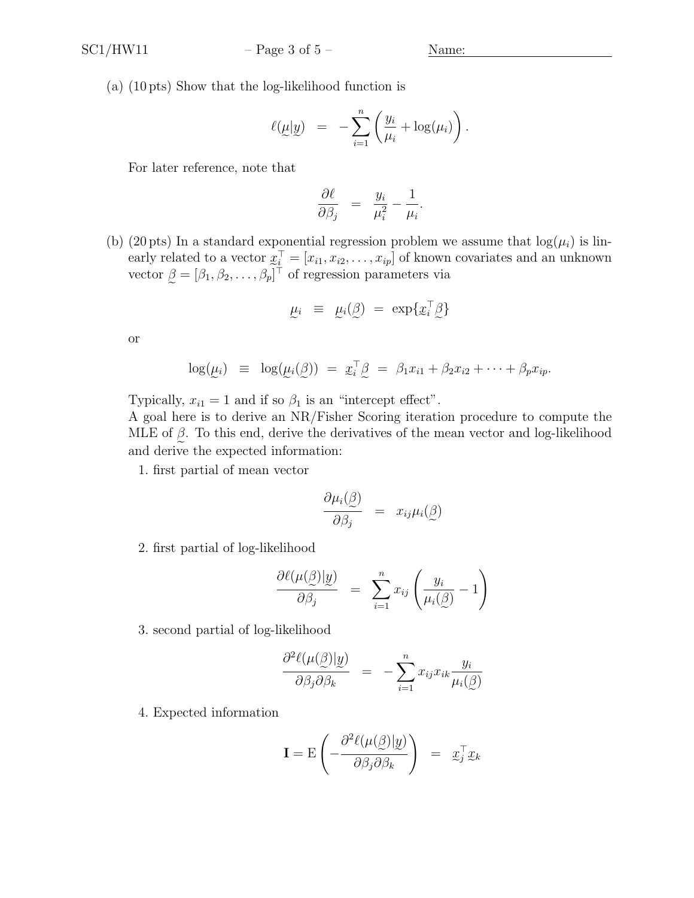(a) (10 pts) Show that the log-likelihood function is

$$
\ell(\underline{\mu}|\underline{y}) = -\sum_{i=1}^n \left(\frac{y_i}{\mu_i} + \log(\mu_i)\right).
$$

For later reference, note that

$$
\frac{\partial \ell}{\partial \beta_j} = \frac{y_i}{\mu_i^2} - \frac{1}{\mu_i}.
$$

(b) (20 pts) In a standard exponential regression problem we assume that  $log(\mu_i)$  is linearly related to a vector  $x$  $\mathbf{e}$  $\mathbf{x}_i^{\top} = [x_{i1}, x_{i2}, \dots, x_{ip}]$  of known covariates and an unknown vector  $\beta = [\beta_1, \beta_2, \dots, \beta_p]^\top$  of regression parameters via

$$
\mu_i \;\; \equiv \;\; \mu_i(\textbf{x}) \; = \; \exp\{x_i^\top \textbf{x}\}
$$

or

$$
\log(\underline{\mu}_i) \equiv \log(\underline{\mu}_i(\underline{\beta})) = \underline{x}_i^{\top} \underline{\beta} = \beta_1 x_{i1} + \beta_2 x_{i2} + \cdots + \beta_p x_{ip}.
$$

Typically,  $x_{i1} = 1$  and if so  $\beta_1$  is an "intercept effect".

A goal here is to derive an NR/Fisher Scoring iteration procedure to compute the MLE of  $\beta$ . To this end, derive the derivatives of the mean vector and log-likelihood and derive the expected information:

1. first partial of mean vector

$$
\frac{\partial \mu_i(\underline{\beta})}{\partial \beta_j} = x_{ij} \mu_i(\underline{\beta})
$$

2. first partial of log-likelihood

$$
\frac{\partial \ell(\mu(\underline{\beta})|\underline{y})}{\partial \beta_j} = \sum_{i=1}^n x_{ij} \left( \frac{y_i}{\mu_i(\underline{\beta})} - 1 \right)
$$

3. second partial of log-likelihood

$$
\frac{\partial^2 \ell(\mu(\mathcal{G}) | \mathcal{Y})}{\partial \beta_j \partial \beta_k} = - \sum_{i=1}^n x_{ij} x_{ik} \frac{y_i}{\mu_i(\mathcal{G})}
$$

4. Expected information

$$
\mathbf{I} = \mathbf{E} \left( -\frac{\partial^2 \ell(\mu(\mathcal{G}) | \mathcal{Y})}{\partial \beta_j \partial \beta_k} \right) = \mathbf{x}_j^\top \mathbf{x}_k
$$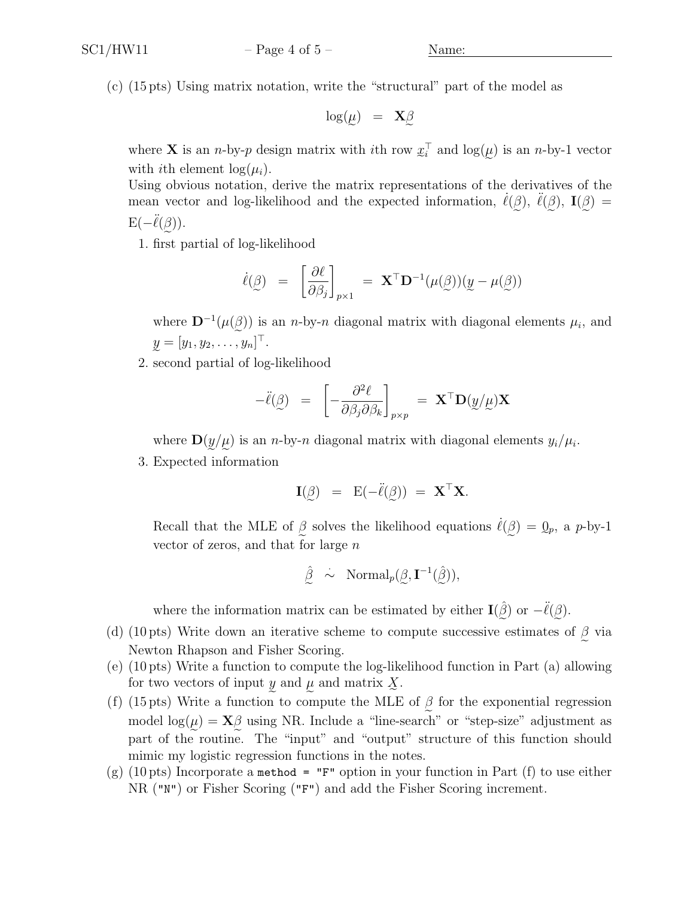(c) (15 pts) Using matrix notation, write the "structural" part of the model as

$$
\log(\mu) = \mathbf{X}_{\mathcal{L}}^{\beta}
$$

e e where **X** is an *n*-by-*p* design matrix with *i*th row  $x_i^{\top}$  and  $\log(\mu)$  is an *n*-by-1 vector with ith element  $\log(\mu_i)$ .

Using obvious notation, derive the matrix representations of the derivatives of the mean vector and log-likelihood and the expected information,  $\dot{\ell}(\beta)$ ,  $\ddot{\ell}(\beta)$ ,  $\mathbf{I}(\beta)$  =  $E(-\ddot{\ell}(\beta)).$ 

e 1. first partial of log-likelihood

$$
\dot{\ell}(\mathcal{G}) = \left[\frac{\partial \ell}{\partial \beta_j}\right]_{p\times 1} = \mathbf{X}^{\top} \mathbf{D}^{-1}(\mu(\mathcal{G}))(\mathcal{Y} - \mu(\mathcal{G}))
$$

where  $\mathbf{D}^{-1}(\mu(\beta))$  is an *n*-by-*n* diagonal matrix with diagonal elements  $\mu_i$ , and  $y = [y_1, y_2, \dots, y_n]^\top.$ 

e 2. second partial of log-likelihood

$$
-\ddot{\ell}(\mathbf{g}) = \left[ -\frac{\partial^2 \ell}{\partial \beta_j \partial \beta_k} \right]_{p \times p} = \mathbf{X}^\top \mathbf{D}(\mathbf{y}/\mathbf{u}) \mathbf{X}
$$

where  $\mathbf{D}(y/\mu)$  is an *n*-by-*n* diagonal matrix with diagonal elements  $y_i/\mu_i$ .

3. Expected information

$$
\mathbf{I}(\beta) = \mathbf{E}(-\ddot{\ell}(\beta)) = \mathbf{X}^{\top}\mathbf{X}.
$$

e e Recall that the MLE of  $\beta$  solves the likelihood equations  $\dot{\ell}(\beta) = 0_p$ , a p-by-1 vector of zeros, and that for large  $n$ 

$$
\hat{\underline{\beta}} \sim \text{Normal}_p(\underline{\beta}, \mathbf{I}^{-1}(\hat{\underline{\beta}})),
$$

where the information matrix can be estimated by either  $\mathbf{I}(\hat{\beta})$  or  $-\ddot{\ell}(\beta)$ .

- (d) (10 pts) Write down an iterative scheme to compute successive estimates of  $\beta$  via Newton Rhapson and Fisher Scoring.
- (e) (10 pts) Write a function to compute the log-likelihood function in Part (a) allowing for two vectors of input y and  $\mu$  and matrix  $\underline{X}$ .
- (f) (15 pts) Write a function to compute the MLE of  $\beta$  for the exponential regression model  $\log(\mu) = \mathbf{X}\beta$  using NR. Include a "line-search" or "step-size" adjustment as part of the routine. The "input" and "output" structure of this function should mimic my logistic regression functions in the notes.
- (g) (10 pts) Incorporate a method = "F" option in your function in Part (f) to use either NR ("N") or Fisher Scoring ("F") and add the Fisher Scoring increment.